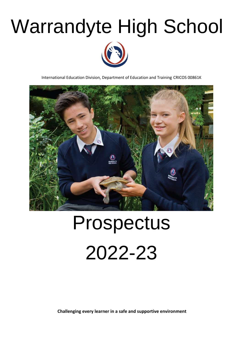## Warrandyte High School



International Education Division, Department of Education and Training CRICOS 00861K



# Prospectus 2022-23

**Challenging every learner in a safe and supportive environment**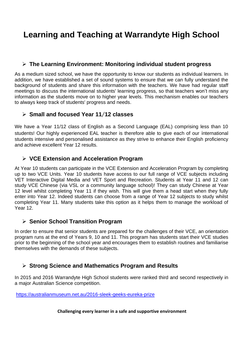### **Learning and Teaching at Warrandyte High School**

#### ➢ **The Learning Environment: Monitoring individual student progress**

As a medium sized school, we have the opportunity to know our students as individual learners. In addition, we have established a set of sound systems to ensure that we can fully understand the background of students and share this information with the teachers. We have had regular staff meetings to discuss the international students' learning progress, so that teachers won't miss any information as the students move on to higher year levels. This mechanism enables our teachers to always keep track of students' progress and needs.

#### ➢ **Small and focused Year 11**/**12 classes**

We have a Year 11/12 class of English as a Second Language (EAL) comprising less than 10 students! Our highly experienced EAL teacher is therefore able to give each of our international students intensive and personalised assistance as they strive to enhance their English proficiency and achieve excellent Year 12 results.

#### ➢ **VCE Extension and Acceleration Program**

At Year 10 students can participate in the VCE Extension and Acceleration Program by completing up to two VCE Units. Year 10 students have access to our full range of VCE subjects including VET Interactive Digital Media and VET Sport and Recreation. Students at Year 11 and 12 can study VCE Chinese (via VSL or a community language school)! They can study Chinese at Year 12 level whilst completing Year 11 if they wish. This will give them a head start when they fully enter into Year 12. Indeed students can choose from a range of Year 12 subjects to study whilst completing Year 11. Many students take this option as it helps them to manage the workload of Year 12.

#### ➢ **Senior School Transition Program**

In order to ensure that senior students are prepared for the challenges of their VCE, an orientation program runs at the end of Years 9, 10 and 11. This program has students start their VCE studies prior to the beginning of the school year and encourages them to establish routines and familiarise themselves with the demands of these subjects.

#### ➢ **Strong Science and Mathematics Program and Results**

In 2015 and 2016 Warrandyte High School students were ranked third and second respectively in a major Australian Science competition.

<https://australianmuseum.net.au/2016-sleek-geeks-eureka-prize>

#### **Challenging every learner in a safe and supportive environment**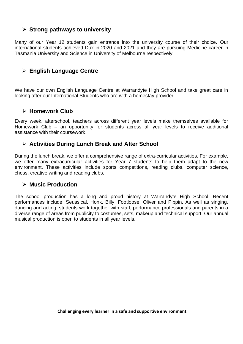#### ➢ **Strong pathways to university**

Many of our Year 12 students gain entrance into the university course of their choice. Our international students achieved Dux in 2020 and 2021 and they are pursuing Medicine career in Tasmania University and Science in University of Melbourne respectively.

#### ➢ **English Language Centre**

We have our own English Language Centre at Warrandyte High School and take great care in looking after our International Students who are with a homestay provider.

#### ➢ **Homework Club**

Every week, afterschool, teachers across different year levels make themselves available for Homework Club – an opportunity for students across all year levels to receive additional assistance with their coursework.

#### ➢ **Activities During Lunch Break and After School**

During the lunch break, we offer a comprehensive range of extra-curricular activities. For example, we offer many extracurricular activities for Year 7 students to help them adapt to the new environment. These activities include sports competitions, reading clubs, computer science, chess, creative writing and reading clubs.

#### ➢ **Music Production**

The school production has a long and proud history at Warrandyte High School. Recent performances include: Seussical, Honk, Billy, Footloose, Oliver and Pippin. As well as singing, dancing and acting, students work together with staff, performance professionals and parents in a diverse range of areas from publicity to costumes, sets, makeup and technical support. Our annual musical production is open to students in all year levels.